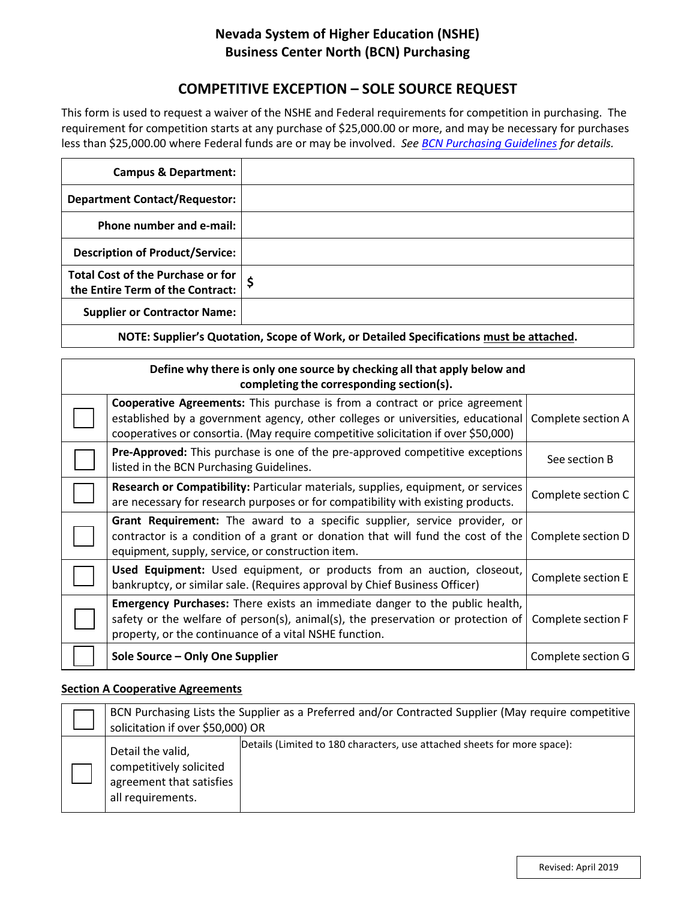## **Nevada System of Higher Education (NSHE) Business Center North (BCN) Purchasing**

# **COMPETITIVE EXCEPTION – SOLE SOURCE REQUEST**

This form is used to request a waiver of the NSHE and Federal requirements for competition in purchasing. The requirement for competition starts at any purchase of \$25,000.00 or more, and may be necessary for purchases less than \$25,000.00 where Federal funds are or may be involved. *See [BCN Purchasing Guidelines](https://www.bcnpurchasing.nevada.edu/media/1195/bcn-purchasing-guidelines-april-2019.pdf) for details.*

| <b>Campus &amp; Department:</b>                                                       |  |  |  |
|---------------------------------------------------------------------------------------|--|--|--|
| <b>Department Contact/Requestor:</b>                                                  |  |  |  |
| Phone number and e-mail:                                                              |  |  |  |
| <b>Description of Product/Service:</b>                                                |  |  |  |
| Total Cost of the Purchase or for<br>the Entire Term of the Contract:                 |  |  |  |
| <b>Supplier or Contractor Name:</b>                                                   |  |  |  |
| NOTE: Cunnicula Quatation, Cenna of Wauk, an Datailad Cunnifications must be attached |  |  |  |

**NOTE: Supplier's Quotation, Scope of Work, or Detailed Specifications must be attached.**

| Define why there is only one source by checking all that apply below and<br>completing the corresponding section(s). |                                                                                                                                                                                                                                                             |                    |  |  |  |
|----------------------------------------------------------------------------------------------------------------------|-------------------------------------------------------------------------------------------------------------------------------------------------------------------------------------------------------------------------------------------------------------|--------------------|--|--|--|
|                                                                                                                      | <b>Cooperative Agreements:</b> This purchase is from a contract or price agreement<br>established by a government agency, other colleges or universities, educational<br>cooperatives or consortia. (May require competitive solicitation if over \$50,000) | Complete section A |  |  |  |
|                                                                                                                      | Pre-Approved: This purchase is one of the pre-approved competitive exceptions<br>listed in the BCN Purchasing Guidelines.                                                                                                                                   | See section B      |  |  |  |
|                                                                                                                      | Research or Compatibility: Particular materials, supplies, equipment, or services<br>are necessary for research purposes or for compatibility with existing products.                                                                                       | Complete section C |  |  |  |
|                                                                                                                      | Grant Requirement: The award to a specific supplier, service provider, or<br>contractor is a condition of a grant or donation that will fund the cost of the<br>equipment, supply, service, or construction item.                                           | Complete section D |  |  |  |
|                                                                                                                      | Used Equipment: Used equipment, or products from an auction, closeout,<br>bankruptcy, or similar sale. (Requires approval by Chief Business Officer)                                                                                                        | Complete section E |  |  |  |
|                                                                                                                      | Emergency Purchases: There exists an immediate danger to the public health,<br>safety or the welfare of person(s), animal(s), the preservation or protection of<br>property, or the continuance of a vital NSHE function.                                   | Complete section F |  |  |  |
|                                                                                                                      | Sole Source - Only One Supplier                                                                                                                                                                                                                             | Complete section G |  |  |  |

#### **Section A Cooperative Agreements**

| BCN Purchasing Lists the Supplier as a Preferred and/or Contracted Supplier (May require competitive<br>solicitation if over \$50,000) OR |                                                                          |  |
|-------------------------------------------------------------------------------------------------------------------------------------------|--------------------------------------------------------------------------|--|
| Detail the valid,<br>competitively solicited<br>agreement that satisfies<br>all requirements.                                             | Details (Limited to 180 characters, use attached sheets for more space): |  |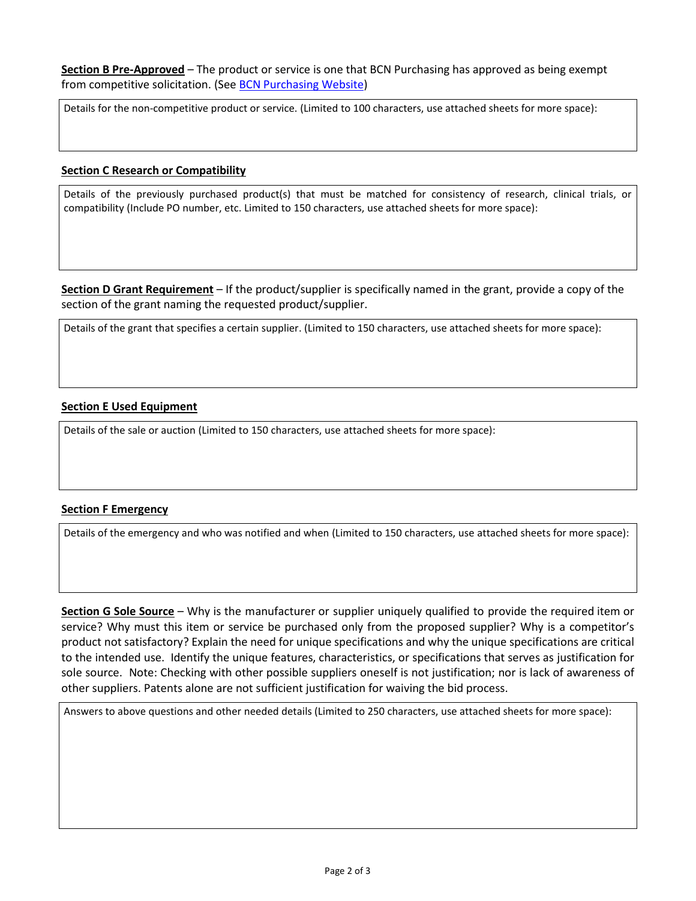**Section B Pre-Approved** – The product or service is one that BCN Purchasing has approved as being exempt from competitive solicitation. (See [BCN Purchasing Website\)](https://bcnpurchasing.nevada.edu/)

Details for the non-competitive product or service. (Limited to 100 characters, use attached sheets for more space):

#### **Section C Research or Compatibility**

Details of the previously purchased product(s) that must be matched for consistency of research, clinical trials, or compatibility (Include PO number, etc. Limited to 150 characters, use attached sheets for more space):

**Section D Grant Requirement** – If the product/supplier is specifically named in the grant, provide a copy of the section of the grant naming the requested product/supplier.

Details of the grant that specifies a certain supplier. (Limited to 150 characters, use attached sheets for more space):

#### **Section E Used Equipment**

Details of the sale or auction (Limited to 150 characters, use attached sheets for more space):

### **Section F Emergency**

Details of the emergency and who was notified and when (Limited to 150 characters, use attached sheets for more space):

**Section G Sole Source** – Why is the manufacturer or supplier uniquely qualified to provide the required item or service? Why must this item or service be purchased only from the proposed supplier? Why is a competitor's product not satisfactory? Explain the need for unique specifications and why the unique specifications are critical to the intended use. Identify the unique features, characteristics, or specifications that serves as justification for sole source. Note: Checking with other possible suppliers oneself is not justification; nor is lack of awareness of other suppliers. Patents alone are not sufficient justification for waiving the bid process.

Answers to above questions and other needed details (Limited to 250 characters, use attached sheets for more space):